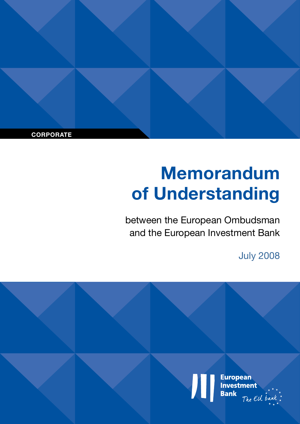**CORPORATE**

# **Memorandum of Understanding**

between the European Ombudsman and the European Investment Bank

July 2008

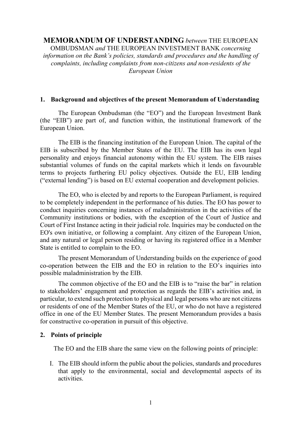## **MEMORANDUM OF UNDERSTANDING** *between* THE EUROPEAN

OMBUDSMAN *and* THE EUROPEAN INVESTMENT BANK *concerning information on the Bank's policies, standards and procedures and the handling of complaints, including complaints from non-citizens and non-residents of the European Union*

#### **1. Background and objectives of the present Memorandum of Understanding**

The European Ombudsman (the "EO") and the European Investment Bank (the "EIB") are part of, and function within, the institutional framework of the European Union.

The EIB is the financing institution of the European Union. The capital of the EIB is subscribed by the Member States of the EU. The EIB has its own legal personality and enjoys financial autonomy within the EU system. The EIB raises substantial volumes of funds on the capital markets which it lends on favourable terms to projects furthering EU policy objectives. Outside the EU, EIB lending ("external lending") is based on EU external cooperation and development policies.

The EO, who is elected by and reports to the European Parliament, is required to be completely independent in the performance of his duties. The EO has power to conduct inquiries concerning instances of maladministration in the activities of the Community institutions or bodies, with the exception of the Court of Justice and Court of First Instance acting in their judicial role. Inquiries may be conducted on the EO's own initiative, or following a complaint. Any citizen of the European Union, and any natural or legal person residing or having its registered office in a Member State is entitled to complain to the EO.

The present Memorandum of Understanding builds on the experience of good co-operation between the EIB and the EO in relation to the EO's inquiries into possible maladministration by the EIB.

The common objective of the EO and the EIB is to "raise the bar" in relation to stakeholders' engagement and protection as regards the EIB's activities and, in particular, to extend such protection to physical and legal persons who are not citizens or residents of one of the Member States of the EU, or who do not have a registered office in one of the EU Member States. The present Memorandum provides a basis for constructive co-operation in pursuit of this objective.

#### **2. Points of principle**

The EO and the EIB share the same view on the following points of principle:

I. The EIB should inform the public about the policies, standards and procedures that apply to the environmental, social and developmental aspects of its activities.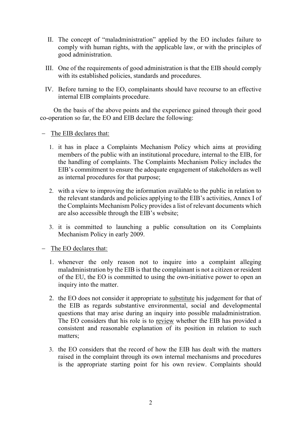- II. The concept of "maladministration" applied by the EO includes failure to comply with human rights, with the applicable law, or with the principles of good administration.
- III. One of the requirements of good administration is that the EIB should comply with its established policies, standards and procedures.
- IV. Before turning to the EO, complainants should have recourse to an effective internal EIB complaints procedure.

On the basis of the above points and the experience gained through their good co-operation so far, the EO and EIB declare the following:

- − The EIB declares that:
	- 1. it has in place a Complaints Mechanism Policy which aims at providing members of the public with an institutional procedure, internal to the EIB, for the handling of complaints. The Complaints Mechanism Policy includes the EIB's commitment to ensure the adequate engagement of stakeholders as well as internal procedures for that purpose;
	- 2. with a view to improving the information available to the public in relation to the relevant standards and policies applying to the EIB's activities, Annex I of the Complaints Mechanism Policy provides a list of relevant documents which are also accessible through the EIB's website;
	- 3. it is committed to launching a public consultation on its Complaints Mechanism Policy in early 2009.

− The EO declares that:

- 1. whenever the only reason not to inquire into a complaint alleging maladministration by the EIB is that the complainant is not a citizen or resident of the EU, the EO is committed to using the own-initiative power to open an inquiry into the matter.
- 2. the EO does not consider it appropriate to substitute his judgement for that of the EIB as regards substantive environmental, social and developmental questions that may arise during an inquiry into possible maladministration. The EO considers that his role is to review whether the EIB has provided a consistent and reasonable explanation of its position in relation to such matters;
- 3. the EO considers that the record of how the EIB has dealt with the matters raised in the complaint through its own internal mechanisms and procedures is the appropriate starting point for his own review. Complaints should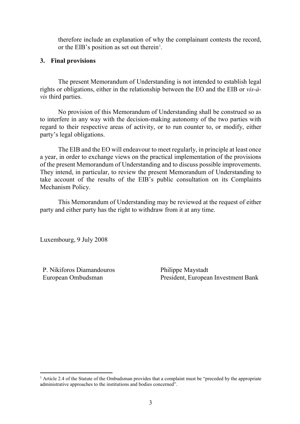therefore include an explanation of why the complainant contests the record, or the EIB's position as set out therein<sup>[1](#page-4-0)</sup>.

#### **3. Final provisions**

The present Memorandum of Understanding is not intended to establish legal rights or obligations, either in the relationship between the EO and the EIB or *vis-àvis* third parties.

No provision of this Memorandum of Understanding shall be construed so as to interfere in any way with the decision-making autonomy of the two parties with regard to their respective areas of activity, or to run counter to, or modify, either party's legal obligations.

The EIB and the EO will endeavour to meet regularly, in principle at least once a year, in order to exchange views on the practical implementation of the provisions of the present Memorandum of Understanding and to discuss possible improvements. They intend, in particular, to review the present Memorandum of Understanding to take account of the results of the EIB's public consultation on its Complaints Mechanism Policy.

This Memorandum of Understanding may be reviewed at the request of either party and either party has the right to withdraw from it at any time.

Luxembourg, 9 July 2008

P. Nikiforos Diamandouros Philippe Maystadt

European Ombudsman President, European Investment Bank

<span id="page-4-0"></span><sup>&</sup>lt;sup>1</sup> Article 2.4 of the Statute of the Ombudsman provides that a complaint must be "preceded by the appropriate" administrative approaches to the institutions and bodies concerned".